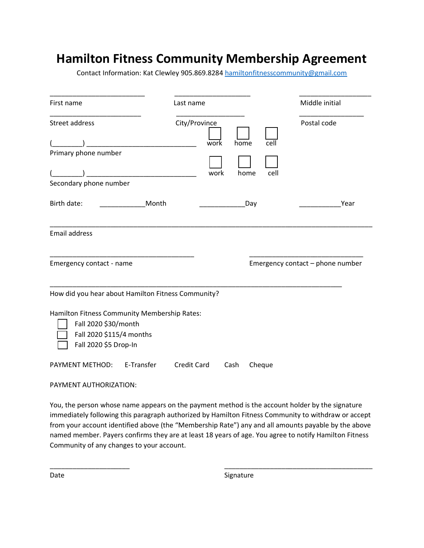## **Hamilton Fitness Community Membership Agreement**

Contact Information: Kat Clewley 905.869.8284 [hamiltonfitnesscommunity@gmail.com](mailto:hamiltonfitnesscommunity@gmail.com)

| First name                                                                                                                |            | Last name          |      |                                  |        | Middle initial |
|---------------------------------------------------------------------------------------------------------------------------|------------|--------------------|------|----------------------------------|--------|----------------|
| Street address                                                                                                            |            | City/Province      | work | home                             | cell   | Postal code    |
| Primary phone number                                                                                                      |            |                    | work | home                             | cell   |                |
| Secondary phone number                                                                                                    |            |                    |      |                                  |        |                |
| Birth date:                                                                                                               | Month      |                    |      | Day                              |        | Year           |
| <b>Email address</b>                                                                                                      |            |                    |      |                                  |        |                |
| Emergency contact - name                                                                                                  |            |                    |      | Emergency contact - phone number |        |                |
| How did you hear about Hamilton Fitness Community?                                                                        |            |                    |      |                                  |        |                |
| Hamilton Fitness Community Membership Rates:<br>Fall 2020 \$30/month<br>Fall 2020 \$115/4 months<br>Fall 2020 \$5 Drop-In |            |                    |      |                                  |        |                |
| PAYMENT METHOD:                                                                                                           | E-Transfer | <b>Credit Card</b> |      | Cash                             | Cheque |                |

PAYMENT AUTHORIZATION:

You, the person whose name appears on the payment method is the account holder by the signature immediately following this paragraph authorized by Hamilton Fitness Community to withdraw or accept from your account identified above (the "Membership Rate") any and all amounts payable by the above named member. Payers confirms they are at least 18 years of age. You agree to notify Hamilton Fitness Community of any changes to your account.

\_\_\_\_\_\_\_\_\_\_\_\_\_\_\_\_\_\_\_\_\_ \_\_\_\_\_\_\_\_\_\_\_\_\_\_\_\_\_\_\_\_\_\_\_\_\_\_\_\_\_\_\_\_\_\_\_\_\_\_\_

Date Signature Signature